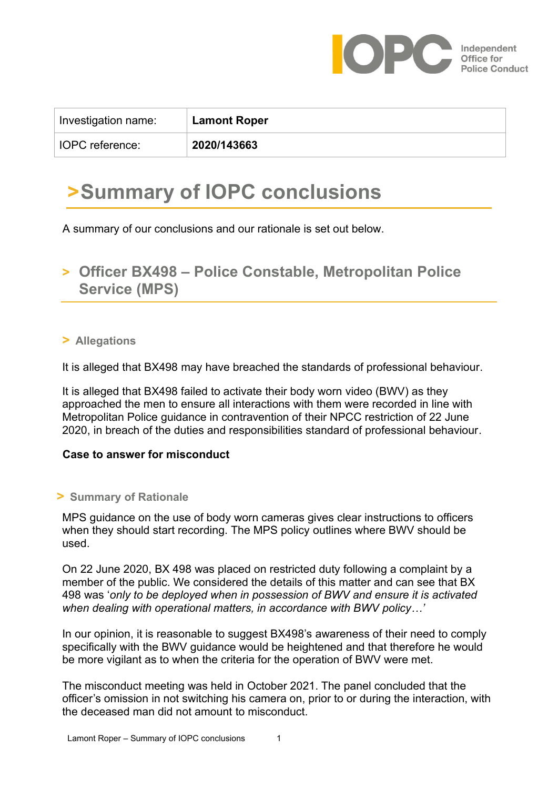

| Investigation name:    | <b>Lamont Roper</b> |
|------------------------|---------------------|
| <b>IOPC</b> reference: | 2020/143663         |

# **>Summary of IOPC conclusions**

A summary of our conclusions and our rationale is set out below.

### **> Officer BX498 – Police Constable, Metropolitan Police Service (MPS)**

#### **> Allegations**

It is alleged that BX498 may have breached the standards of professional behaviour.

It is alleged that BX498 failed to activate their body worn video (BWV) as they approached the men to ensure all interactions with them were recorded in line with Metropolitan Police guidance in contravention of their NPCC restriction of 22 June 2020, in breach of the duties and responsibilities standard of professional behaviour.

#### **Case to answer for misconduct**

#### **> Summary of Rationale**

MPS guidance on the use of body worn cameras gives clear instructions to officers when they should start recording. The MPS policy outlines where BWV should be used.

On 22 June 2020, BX 498 was placed on restricted duty following a complaint by a member of the public. We considered the details of this matter and can see that BX 498 was '*only to be deployed when in possession of BWV and ensure it is activated when dealing with operational matters, in accordance with BWV policy…'*

In our opinion, it is reasonable to suggest BX498's awareness of their need to comply specifically with the BWV guidance would be heightened and that therefore he would be more vigilant as to when the criteria for the operation of BWV were met.

The misconduct meeting was held in October 2021. The panel concluded that the officer's omission in not switching his camera on, prior to or during the interaction, with the deceased man did not amount to misconduct.